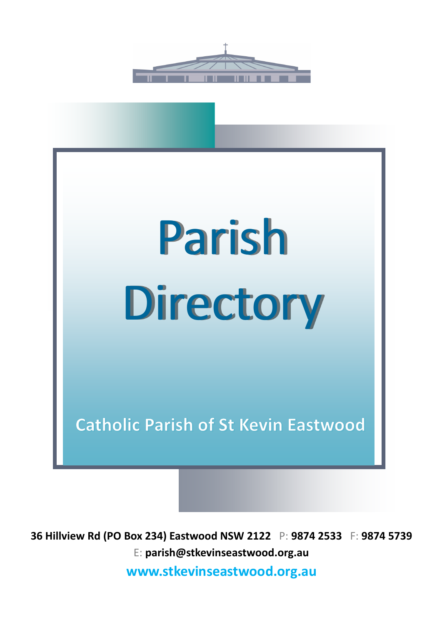



**36 Hillview Rd (PO Box 234) Eastwood NSW 2122** P: **9874 2533** F: **9874 5739**  E: **parish@stkevinseastwood.org.au www.stkevinseastwood.org.au**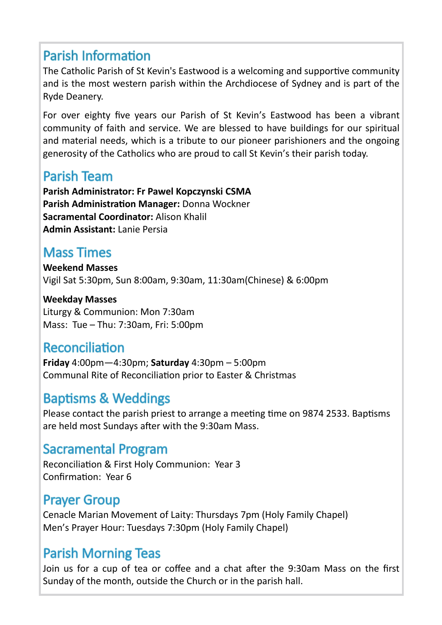# **Parish Information**

The Catholic Parish of St Kevin's Eastwood is a welcoming and supportive community and is the most western parish within the Archdiocese of Sydney and is part of the Ryde Deanery.

For over eighty five years our Parish of St Kevin's Eastwood has been a vibrant community of faith and service. We are blessed to have buildings for our spiritual and material needs, which is a tribute to our pioneer parishioners and the ongoing generosity of the Catholics who are proud to call St Kevin's their parish today.

### **Parish Team**

**Parish Administrator: Fr Pawel Kopczynski CSMA Parish Administration Manager:** Donna Wockner **Sacramental Coordinator:** Alison Khalil **Admin Assistant:** Lanie Persia

## **Mass Times**

**Weekend Masses** Vigil Sat 5:30pm, Sun 8:00am, 9:30am, 11:30am(Chinese) & 6:00pm

**Weekday Masses** Liturgy & Communion: Mon 7:30am Mass: Tue – Thu: 7:30am, Fri: 5:00pm

# **Reconciliation**

**Friday** 4:00pm—4:30pm; **Saturday** 4:30pm – 5:00pm Communal Rite of Reconciliation prior to Easter & Christmas

# **Baptisms & Weddings**

Please contact the parish priest to arrange a meeting time on 9874 2533. Baptisms are held most Sundays after with the 9:30am Mass.

## **Sacramental Program**

Reconciliation & First Holy Communion: Year 3 Confirmation: Year 6

# **Praver Group**

Cenacle Marian Movement of Laity: Thursdays 7pm (Holy Family Chapel) Men's Prayer Hour: Tuesdays 7:30pm (Holy Family Chapel)

# **Parish Morning Teas**

Join us for a cup of tea or coffee and a chat after the 9:30am Mass on the first Sunday of the month, outside the Church or in the parish hall.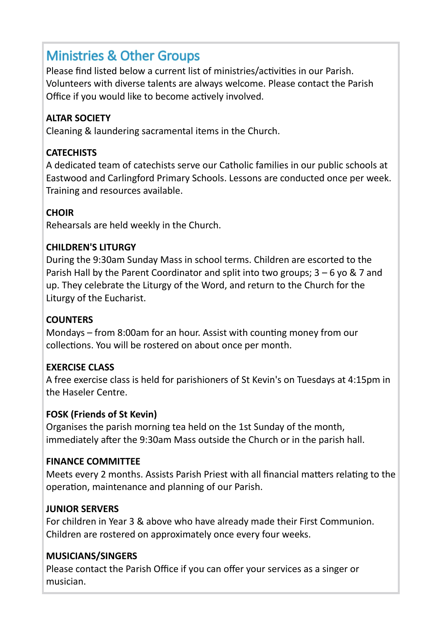# **Ministries & Other Groups**

Please find listed below a current list of ministries/activities in our Parish. Volunteers with diverse talents are always welcome. Please contact the Parish Office if you would like to become actively involved.

#### **ALTAR SOCIETY**

Cleaning & laundering sacramental items in the Church.

#### **CATECHISTS**

A dedicated team of catechists serve our Catholic families in our public schools at Eastwood and Carlingford Primary Schools. Lessons are conducted once per week. Training and resources available.

#### **CHOIR**

Rehearsals are held weekly in the Church.

#### **CHILDREN'S LITURGY**

During the 9:30am Sunday Mass in school terms. Children are escorted to the Parish Hall by the Parent Coordinator and split into two groups; 3 – 6 yo & 7 and up. They celebrate the Liturgy of the Word, and return to the Church for the Liturgy of the Eucharist.

#### **COUNTERS**

Mondays – from 8:00am for an hour. Assist with counting money from our collections. You will be rostered on about once per month.

#### **EXERCISE CLASS**

A free exercise class is held for parishioners of St Kevin's on Tuesdays at 4:15pm in the Haseler Centre.

#### **FOSK (Friends of St Kevin)**

Organises the parish morning tea held on the 1st Sunday of the month, immediately after the 9:30am Mass outside the Church or in the parish hall.

#### **FINANCE COMMITTEE**

Meets every 2 months. Assists Parish Priest with all financial matters relating to the operation, maintenance and planning of our Parish.

#### **JUNIOR SERVERS**

For children in Year 3 & above who have already made their First Communion. Children are rostered on approximately once every four weeks.

#### **MUSICIANS/SINGERS**

Please contact the Parish Office if you can offer your services as a singer or musician.